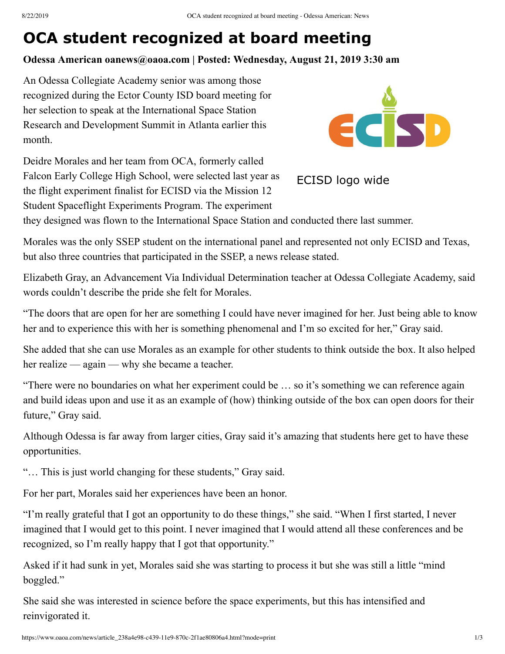# **OCA student recognized at board meeting**

## **Odessa American oanews@oaoa.com | Posted: Wednesday, August 21, 2019 3:30 am**

An Odessa Collegiate Academy senior was among those recognized during the Ector County ISD board meeting for her selection to speak at the International Space Station Research and Development Summit in Atlanta earlier this month.

Deidre Morales and her team from OCA, formerly called Falcon Early College High School, were selected last year as the flight experiment finalist for ECISD via the Mission 12 Student Spaceflight Experiments Program. The experiment



ECISD logo wide

they designed was flown to the International Space Station and conducted there last summer.

Morales was the only SSEP student on the international panel and represented not only ECISD and Texas, but also three countries that participated in the SSEP, a news release stated.

Elizabeth Gray, an Advancement Via Individual Determination teacher at Odessa Collegiate Academy, said words couldn't describe the pride she felt for Morales.

"The doors that are open for her are something I could have never imagined for her. Just being able to know her and to experience this with her is something phenomenal and I'm so excited for her," Gray said.

She added that she can use Morales as an example for other students to think outside the box. It also helped her realize — again — why she became a teacher.

"There were no boundaries on what her experiment could be … so it's something we can reference again and build ideas upon and use it as an example of (how) thinking outside of the box can open doors for their future," Gray said.

Although Odessa is far away from larger cities, Gray said it's amazing that students here get to have these opportunities.

"… This is just world changing for these students," Gray said.

For her part, Morales said her experiences have been an honor.

"I'm really grateful that I got an opportunity to do these things," she said. "When I first started, I never imagined that I would get to this point. I never imagined that I would attend all these conferences and be recognized, so I'm really happy that I got that opportunity."

Asked if it had sunk in yet, Morales said she was starting to process it but she was still a little "mind boggled."

She said she was interested in science before the space experiments, but this has intensified and reinvigorated it.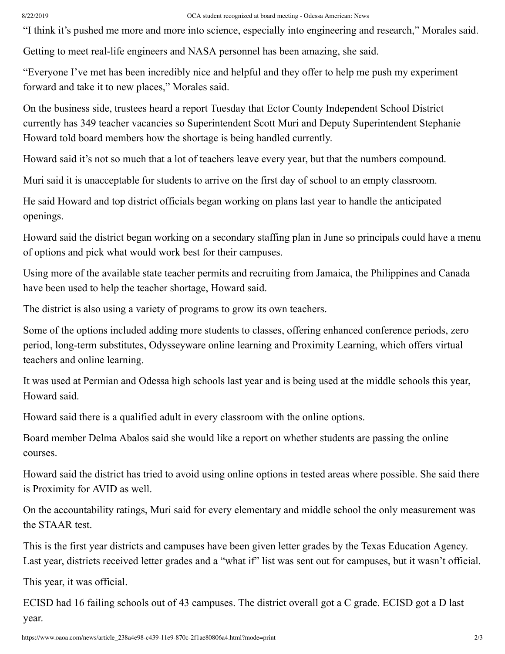#### 8/22/2019 OCA student recognized at board meeting - Odessa American: News

"I think it's pushed me more and more into science, especially into engineering and research," Morales said.

Getting to meet real-life engineers and NASA personnel has been amazing, she said.

"Everyone I've met has been incredibly nice and helpful and they offer to help me push my experiment forward and take it to new places," Morales said.

On the business side, trustees heard a report Tuesday that Ector County Independent School District currently has 349 teacher vacancies so Superintendent Scott Muri and Deputy Superintendent Stephanie Howard told board members how the shortage is being handled currently.

Howard said it's not so much that a lot of teachers leave every year, but that the numbers compound.

Muri said it is unacceptable for students to arrive on the first day of school to an empty classroom.

He said Howard and top district officials began working on plans last year to handle the anticipated openings.

Howard said the district began working on a secondary staffing plan in June so principals could have a menu of options and pick what would work best for their campuses.

Using more of the available state teacher permits and recruiting from Jamaica, the Philippines and Canada have been used to help the teacher shortage, Howard said.

The district is also using a variety of programs to grow its own teachers.

Some of the options included adding more students to classes, offering enhanced conference periods, zero period, long-term substitutes, Odysseyware online learning and Proximity Learning, which offers virtual teachers and online learning.

It was used at Permian and Odessa high schools last year and is being used at the middle schools this year, Howard said.

Howard said there is a qualified adult in every classroom with the online options.

Board member Delma Abalos said she would like a report on whether students are passing the online courses.

Howard said the district has tried to avoid using online options in tested areas where possible. She said there is Proximity for AVID as well.

On the accountability ratings, Muri said for every elementary and middle school the only measurement was the STAAR test.

This is the first year districts and campuses have been given letter grades by the Texas Education Agency. Last year, districts received letter grades and a "what if" list was sent out for campuses, but it wasn't official.

This year, it was official.

ECISD had 16 failing schools out of 43 campuses. The district overall got a C grade. ECISD got a D last year.